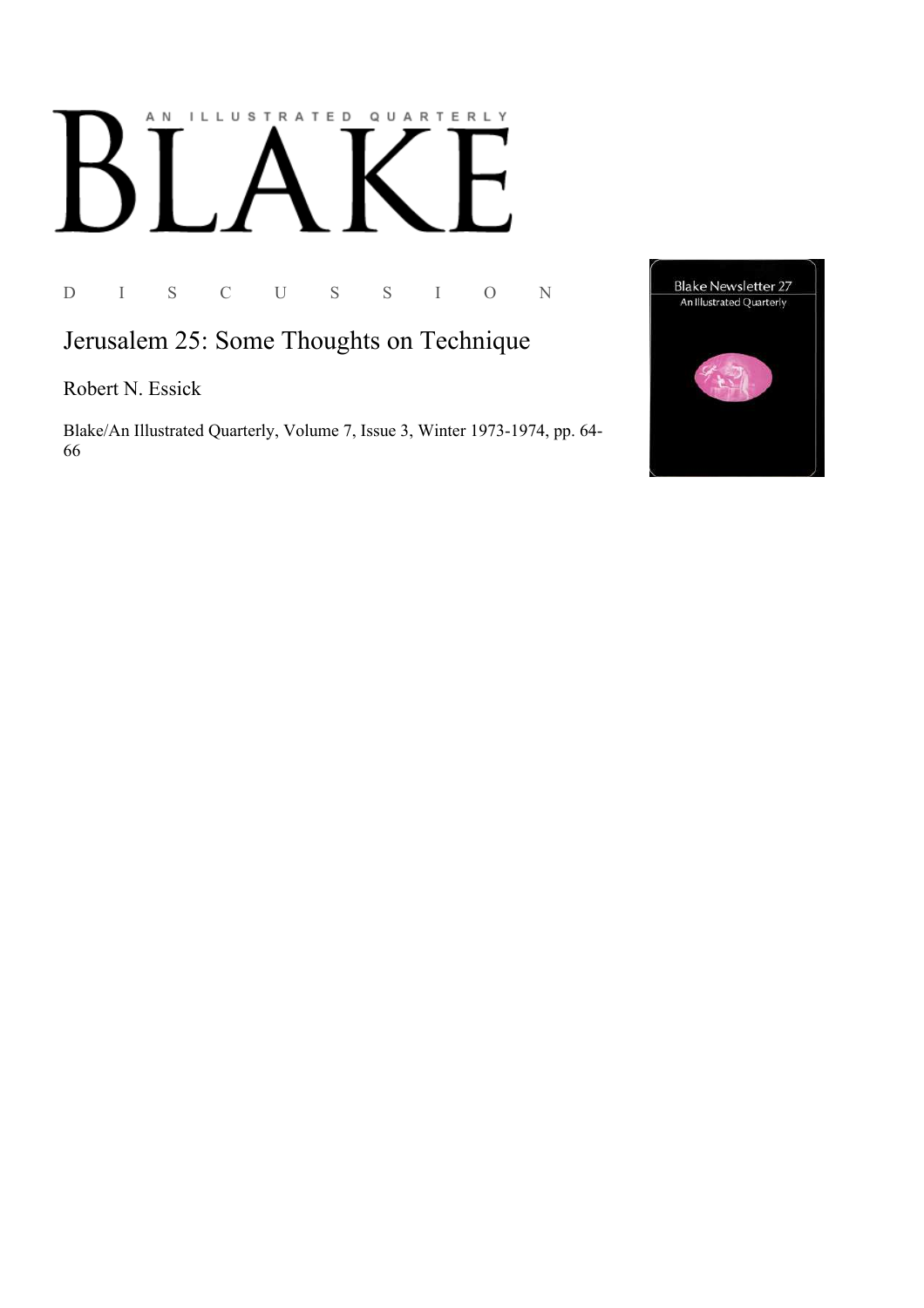## AN ILLUSTRATED QUARTERLY

D I S C U S S I O N

## Jerusalem 25: Some Thoughts on Technique

Robert N. Essick

Blake/An Illustrated Quarterly, Volume 7, Issue 3, Winter 1973-1974, pp. 64-66

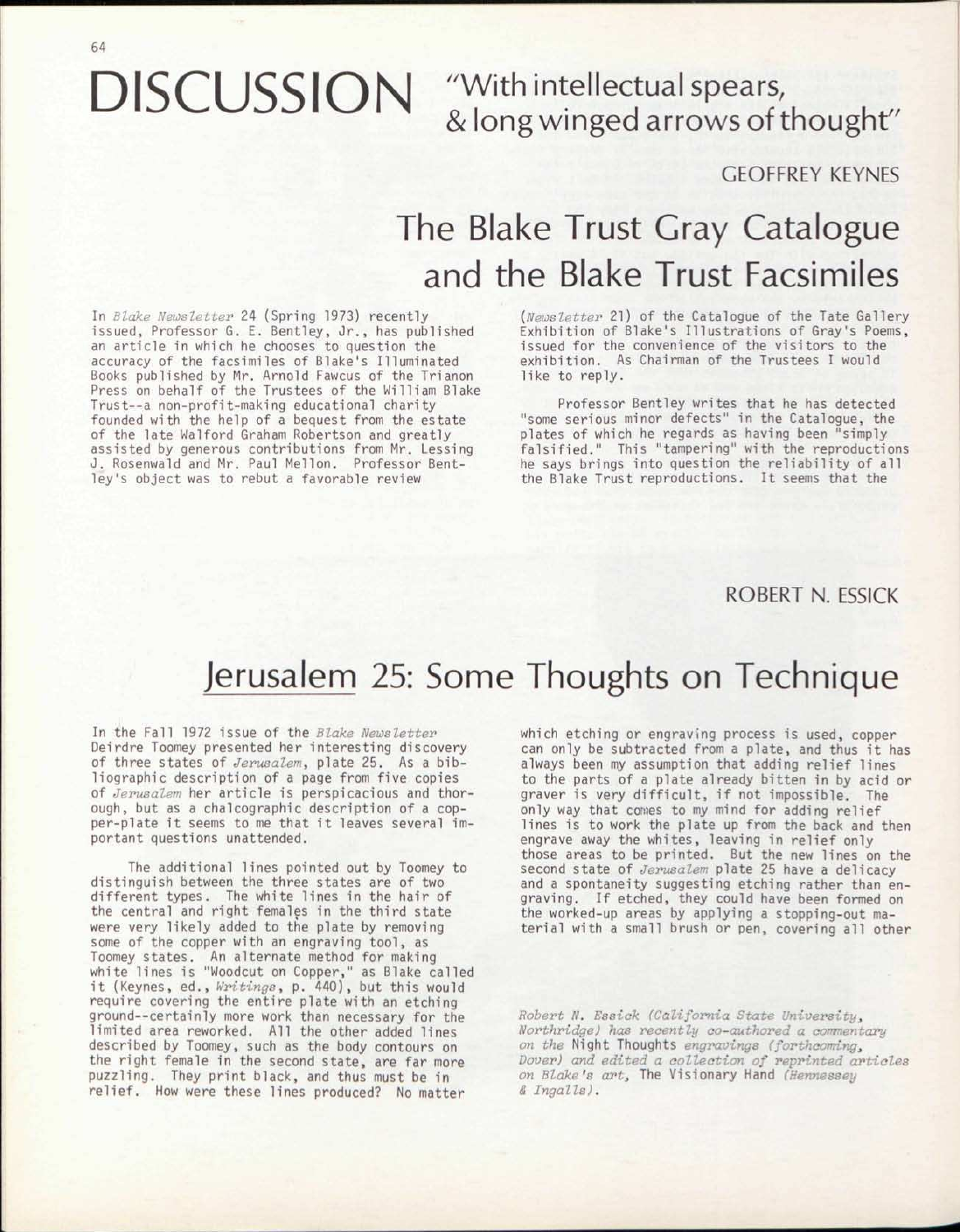& long winged arrows of thought"

GEOrFREY KEYNES

## The Blake Trust Gray Catalogue and the Blake Trust Facsimiles

In *Blake Newsletter* 24 (Spring 1973) recently issued, Professor G. E. Bentley, Jr., has published an article in which he chooses to question the accuracy of the facsimiles of Blake's Illuminated Books published by Mr. Arnold Fawcus of the Trianon Press on behalf of the Trustees of the William Blake Trust--a non-profit-making educational charity founded with the help of a bequest from the estate of the late Walford Graham Robertson and greatly assisted by generous contributions from Mr. Lessing J. Rosenwald and Mr. Paul Mellon. Professor Bentley's object was to rebut a favorable review

*{Newsletter* 21) of the Catalogue of the Tate Gallery Exhibition of Blake's Illustrations of Gray's Poems, issued for the convenience of the visitors to the exhibition. As Chairman of the Trustees I would like to reply.

Professor Bentley writes that he has detected "some serious minor defects" in the Catalogue, the plates of which he regards as having been "simply falsified." This "tampering" with the reproductions he says brings into question the reliability of all the Blake Trust reproductions. It seems that the

ROBERT N. ESSICK

## Jerusalem 25: Some Thoughts on Technique

In the Fall 1972 issue of the *Blake Newsletter*  Deirdre Toomey presented her interesting discovery of three states of *Jerusalem,* plate 25. As a bibliographic description of a page from five copies of *Jerusalem* her article is perspicacious and thorough, but as a chalcographic description of a copper-plate it seems to me that it leaves several important questions unattended.

The additional lines pointed out by Toomey to distinguish between the three states are of two different types. The white lines in the hair of the central and right females in the third state were very likely added to the plate by removing some of the copper with an engraving tool, as Toomey states. An alternate method for making white lines is "Woodcut on Copper," as Blake called i t (Keynes, ed., *Writings,* p. 440), but this would require covering the entire plate with an etching ground--certainly more work than necessary for the limited area reworked. All the other added lines described by Toomey, such as the body contours on the right female in the second state, *are* far more puzzling. They print black, and thus must be in relief. How were these lines produced? No matter

which etching or engraving process is used, copper can only be subtracted from a plate, and thus it has always been my assumption that adding relief lines to the parts of a plate already bitten in by acid or graver is very difficult, if not impossible. The only way that comes to my mind for adding relief lines is to work the plate up from the back and then engrave away the whites, leaving in relief only those areas to be printed. But the new lines on the second state of *Jerusalem* plate 25 have a delicacy and a spontaneity suggesting etching rather than engraving. If etched, they could have been formed on the worked-up areas by applying a stopping-out material with a small brush or pen, covering all other

*Robert N. Essiak (California State University<sup>s</sup> Northridge) has recently co-authored a commentary on the* Night Thoughts *engravings (forthcomings Dover) and edited a collection of reprinted articles on Blake's art,* The Visionary Hand *(Hennessey & Jngalls).*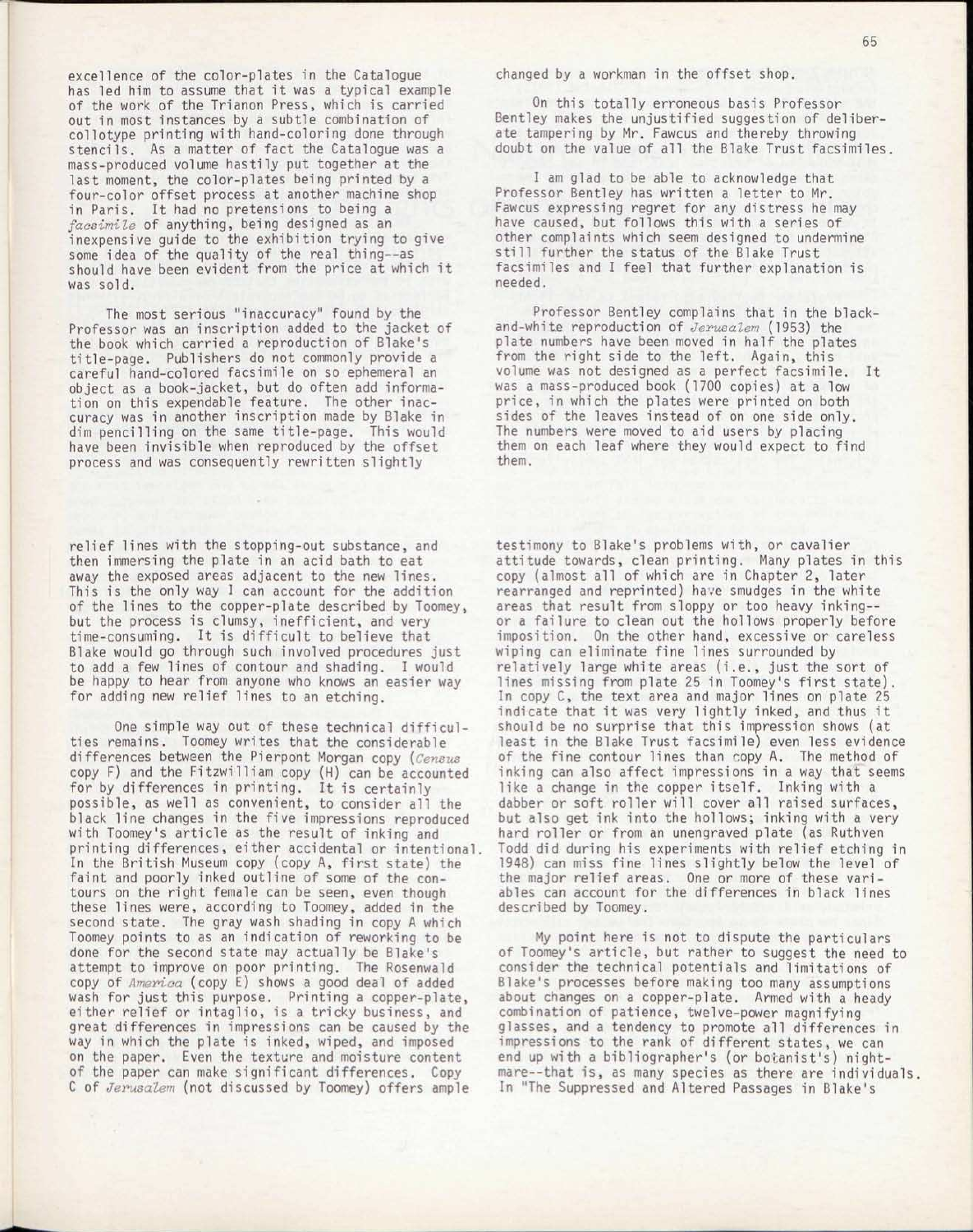excellence of the color-plates in the Catalogue has led him to assume that it was a typical example of the work of the Trianon Press, which is carried out in most instances by a subtle combination of collotype printing with hand-coloring done through stencils. As a matter of fact the Catalogue was a mass-produced volume hastily put together at the last moment, the color-plates being printed by a four-color offset process at another machine shop in Paris. It had no pretensions to being a *facsimile* of anything, being designed as an inexpensive guide to the exhibition trying to give some idea of the quality of the real thing--as should have been evident from the price at which it was sold.

The most serious "inaccuracy" found by the Professor was an inscription added to the jacket of the book which carried a reproduction of Blake's title-page. Publishers do not commonly provide a careful hand-colored facsimile on so ephemeral an object as a book-jacket, but do often add information on this expendable feature. The other inaccuracy was in another inscription made by Blake in dim pencilling on the same title-page. This would have been invisible when reproduced by the offset process and was consequently rewritten slightly

relief lines with the stopping-out substance, and then immersing the plate in an acid bath to eat away the exposed areas adjacent to the new lines. This is the only way I can account for the addition of the lines to the copper-plate described by Toomey, but the process is clumsy, inefficient, and *very*  time-consuming. It is difficult to believe that Blake would go through such involved procedures just to add a few lines of contour and shading. I would be happy to hear from anyone who knows an easier way for adding new relief lines to an etching.

One simple way out of these technical difficulties remains. Toomey writes that the considerable differences between the Pierpont Morgan copy *(Census*  copy F) and the Fitzwilliam copy (H) can be accounted for by differences in printing. It is certainly possible, as well as convenient, to consider all the black line changes in the five impressions reproduced with Toomey's article as the result of inking and printing differences, either accidental or intentional. In the British Museum copy (copy A, first state) the faint and poorly inked outline of some of the contours on the right female can be seen, even though these lines were, according to Toomey, added in the second state. The gray wash shading in copy A which Toomey points to as an indication of reworking to be done for the second state may actually be Blake's attempt to improve on poor printing. The Rosenwald copy of *America* (copy E) shows a good deal of added wash for just this purpose. Printing a copper-plate, either relief or intaglio, is a tricky business, and great differences in impressions can be caused by the way in which the plate is inked, wiped, and imposed on the paper. Even the texture and moisture content of the paper can make significant differences. Copy C of *Jerusalem* (not discussed by Toomey) offers ample

changed by a workman in the offset shop.

On this totally erroneous basis Professor Bentley makes the unjustified suggestion of deliberate tampering by Mr. Fawcus and thereby throwing doubt on the value of all the Blake Trust facsimiles.

I am glad to be able to acknowledge that Professor Bentley has written a letter to Mr. Fawcus expressing regret for any distress he may have caused, but follows this with a series of other complaints which seem designed to undermine still further the status of the Blake Trust facsimiles and I feel that further explanation is needed.

Professor Bentley complains that in the blackand-white reproduction of *Jerusalem* (1953) the plate numbers have been moved in half the plates from the right side to the left. Again, this volume was not designed as a perfect facsimile. It was a mass-produced book (1700 copies) at a low price, in which the plates were printed on both sides of the leaves instead of on one side only. The numbers were moved to aid users by placing them on each leaf where they would expect to find them.

testimony to Blake's problems with, or cavalier attitude towards, clean printing. Many plates in this copy (almost all of which are in Chapter 2, later rearranged and reprinted) have smudges in the white areas that result from sloppy or too heavy inking- or a failure to clean out the hollows properly before imposition. On the other hand, excessive or careless wiping can eliminate fine lines surrounded by relatively large white areas (i.e., just the sort of lines missing from plate 25 in Toomey's first state). In copy C, the text area and major lines on plate 25 indicate that it was very lightly inked, and thus it should be no surprise that this impression shows (at least in the Blake Trust facsimile) even less evidence of the fine contour lines than copy A. The method of inking can also affect impressions in a way that seems like a change in the copper itself. Inking with a dabber or soft roller will cover all raised surfaces, but also get ink into the hollows; inking with a *very*  hard roller or from an unengraved plate (as Ruthven Todd did during his experiments with relief etching in 1948) can miss fine lines slightly below the level of the major relief areas. One or more of these variables can account for the differences in black lines described by Toomey.

My point here is not to dispute the particulars of Toomey's article, but rather to suggest the need to consider the technical potentials and limitations of Blake's processes before making too many assumptions about changes on a copper-plate. Armed with a heady combination of patience, twelve-power magnifying glasses, and a tendency to promote all differences in impressions to the rank of different states, we can end up with a bibliographer's (or botanist's) nightmare—that is, as many species as there are individuals. In "The Suppressed and Altered Passages in Blake's